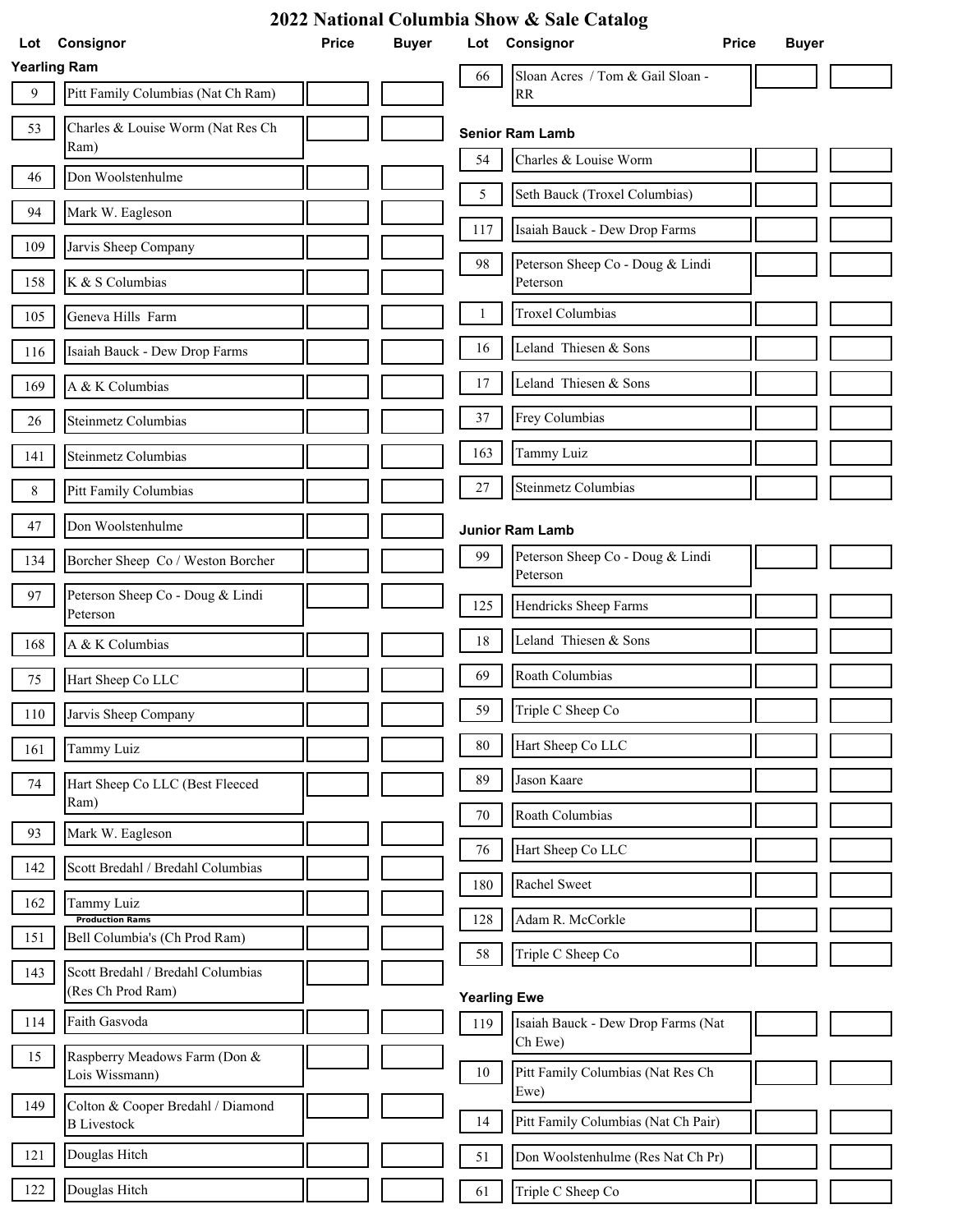| 2022 National Columbia Show & Sale Catalog |                                                        |              |              |                     |                                              |              |  |  |
|--------------------------------------------|--------------------------------------------------------|--------------|--------------|---------------------|----------------------------------------------|--------------|--|--|
| Lot                                        | Consignor                                              | <b>Price</b> | <b>Buyer</b> | Lot                 | Consignor<br><b>Price</b>                    | <b>Buyer</b> |  |  |
| <b>Yearling Ram</b>                        |                                                        |              |              | 66                  | Sloan Acres / Tom & Gail Sloan -             |              |  |  |
| 9                                          | Pitt Family Columbias (Nat Ch Ram)                     |              |              |                     | <b>RR</b>                                    |              |  |  |
| 53                                         | Charles & Louise Worm (Nat Res Ch<br>Ram)              |              |              |                     | <b>Senior Ram Lamb</b>                       |              |  |  |
| 46                                         | Don Woolstenhulme                                      |              |              | 54                  | Charles & Louise Worm                        |              |  |  |
| 94                                         | Mark W. Eagleson                                       |              |              | 5                   | Seth Bauck (Troxel Columbias)                |              |  |  |
| 109                                        | Jarvis Sheep Company                                   |              |              | 117                 | Isaiah Bauck - Dew Drop Farms                |              |  |  |
| 158                                        | K & S Columbias                                        |              |              | 98                  | Peterson Sheep Co - Doug & Lindi<br>Peterson |              |  |  |
| 105                                        | Geneva Hills Farm                                      |              |              | 1                   | <b>Troxel Columbias</b>                      |              |  |  |
| 116                                        | Isaiah Bauck - Dew Drop Farms                          |              |              | 16                  | Leland Thiesen & Sons                        |              |  |  |
| 169                                        | A & K Columbias                                        |              |              | 17                  | Leland Thiesen & Sons                        |              |  |  |
| 26                                         | Steinmetz Columbias                                    |              |              | 37                  | Frey Columbias                               |              |  |  |
| 141                                        | Steinmetz Columbias                                    |              |              | 163                 | Tammy Luiz                                   |              |  |  |
| $\,8\,$                                    | Pitt Family Columbias                                  |              |              | $27\,$              | Steinmetz Columbias                          |              |  |  |
| 47                                         | Don Woolstenhulme                                      |              |              |                     | <b>Junior Ram Lamb</b>                       |              |  |  |
| 134                                        | Borcher Sheep Co / Weston Borcher                      |              |              | 99                  | Peterson Sheep Co - Doug & Lindi<br>Peterson |              |  |  |
| 97                                         | Peterson Sheep Co - Doug & Lindi<br>Peterson           |              |              | 125                 | Hendricks Sheep Farms                        |              |  |  |
| 168                                        | A & K Columbias                                        |              |              | 18                  | Leland Thiesen & Sons                        |              |  |  |
| 75                                         | Hart Sheep Co LLC                                      |              |              | 69                  | Roath Columbias                              |              |  |  |
| 110                                        | Jarvis Sheep Company                                   |              |              | 59                  | Triple C Sheep Co                            |              |  |  |
| 161                                        | Tammy Luiz                                             |              |              | 80                  | Hart Sheep Co LLC                            |              |  |  |
| 74                                         | Hart Sheep Co LLC (Best Fleeced<br>Ram)                |              |              | 89                  | Jason Kaare                                  |              |  |  |
| 93                                         | Mark W. Eagleson                                       |              |              | $70\,$              | Roath Columbias                              |              |  |  |
|                                            |                                                        |              |              | 76                  | Hart Sheep Co LLC                            |              |  |  |
| 142                                        | Scott Bredahl / Bredahl Columbias                      |              |              | 180                 | Rachel Sweet                                 |              |  |  |
| 162                                        | Tammy Luiz<br><b>Production Rams</b>                   |              |              | 128                 | Adam R. McCorkle                             |              |  |  |
| 151                                        | Bell Columbia's (Ch Prod Ram)                          |              |              | 58                  | Triple C Sheep Co                            |              |  |  |
| 143                                        | Scott Bredahl / Bredahl Columbias<br>(Res Ch Prod Ram) |              |              | <b>Yearling Ewe</b> |                                              |              |  |  |
| 114                                        | Faith Gasvoda                                          |              |              | 119                 | Isaiah Bauck - Dew Drop Farms (Nat           |              |  |  |
| 15                                         | Raspberry Meadows Farm (Don &<br>Lois Wissmann)        |              |              | 10                  | Ch Ewe)<br>Pitt Family Columbias (Nat Res Ch |              |  |  |
| 149                                        | Colton & Cooper Bredahl / Diamond                      |              |              | 14                  | Ewe)<br>Pitt Family Columbias (Nat Ch Pair)  |              |  |  |
| 121                                        | <b>B</b> Livestock<br>Douglas Hitch                    |              |              | 51                  | Don Woolstenhulme (Res Nat Ch Pr)            |              |  |  |
|                                            |                                                        |              |              |                     |                                              |              |  |  |
| 122                                        | Douglas Hitch                                          |              |              | 61                  | Triple C Sheep Co                            |              |  |  |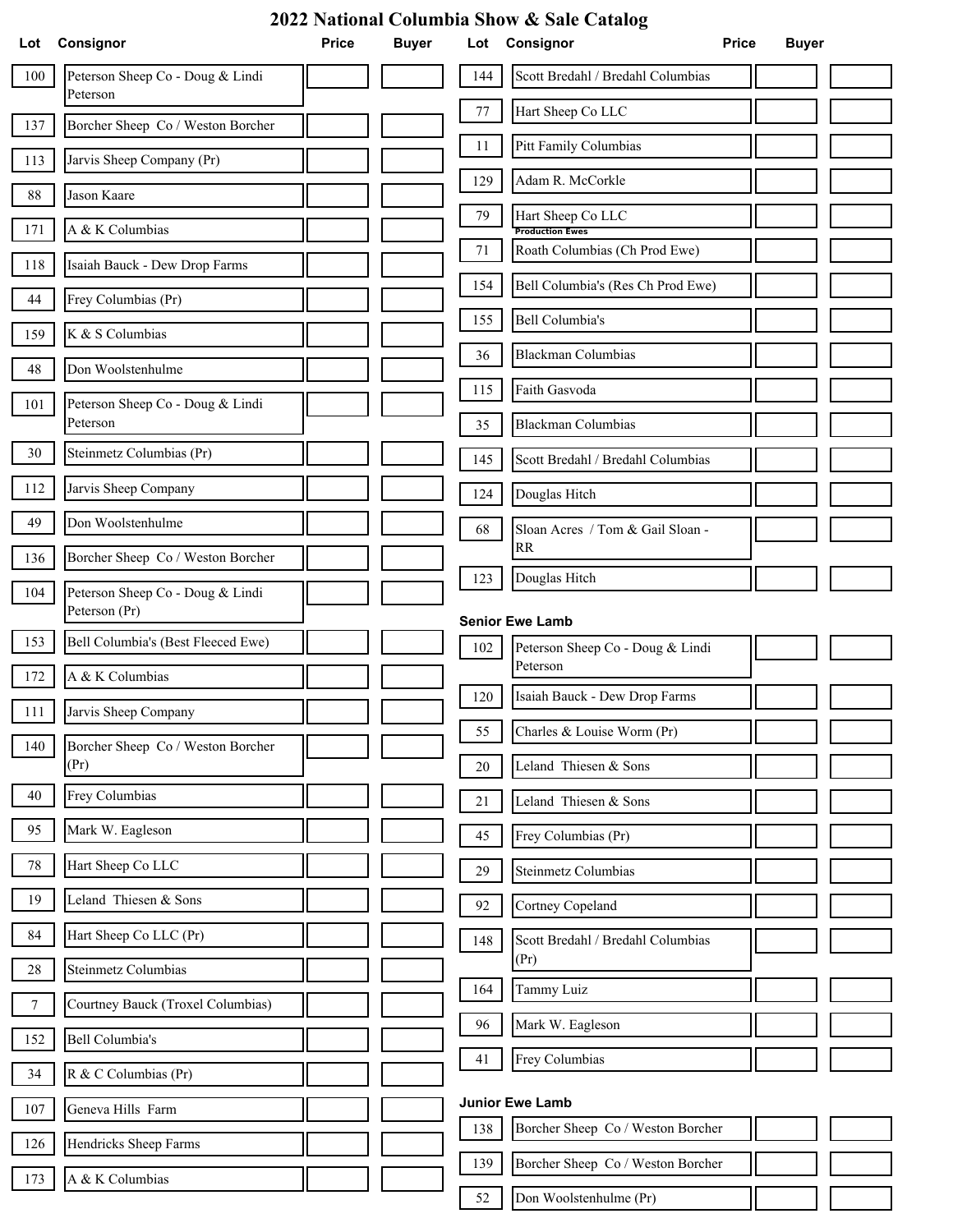| 2022 National Columbia Show & Sale Catalog |                                                   |              |              |        |                                                             |                              |  |  |  |
|--------------------------------------------|---------------------------------------------------|--------------|--------------|--------|-------------------------------------------------------------|------------------------------|--|--|--|
| Lot                                        | Consignor                                         | <b>Price</b> | <b>Buyer</b> |        | Lot Consignor                                               | <b>Price</b><br><b>Buyer</b> |  |  |  |
| 100                                        | Peterson Sheep Co - Doug & Lindi<br>Peterson      |              |              | 144    | Scott Bredahl / Bredahl Columbias                           |                              |  |  |  |
| 137                                        | Borcher Sheep Co / Weston Borcher                 |              |              | $77\,$ | Hart Sheep Co LLC                                           |                              |  |  |  |
| 113                                        | Jarvis Sheep Company (Pr)                         |              |              | 11     | Pitt Family Columbias                                       |                              |  |  |  |
| 88                                         | Jason Kaare                                       |              |              | 129    | Adam R. McCorkle                                            |                              |  |  |  |
| 171                                        | A & K Columbias                                   |              |              | 79     | Hart Sheep Co LLC<br><b>Production Ewes</b>                 |                              |  |  |  |
| 118                                        | Isaiah Bauck - Dew Drop Farms                     |              |              | 71     | Roath Columbias (Ch Prod Ewe)                               |                              |  |  |  |
| 44                                         | Frey Columbias (Pr)                               |              |              | 154    | Bell Columbia's (Res Ch Prod Ewe)                           |                              |  |  |  |
| 159                                        | K & S Columbias                                   |              |              | 155    | Bell Columbia's                                             |                              |  |  |  |
| 48                                         | Don Woolstenhulme                                 |              |              | 36     | <b>Blackman Columbias</b>                                   |                              |  |  |  |
| 101                                        | Peterson Sheep Co - Doug & Lindi                  |              |              | 115    | Faith Gasvoda                                               |                              |  |  |  |
|                                            | Peterson                                          |              |              | 35     | <b>Blackman Columbias</b>                                   |                              |  |  |  |
| 30                                         | Steinmetz Columbias (Pr)                          |              |              | 145    | Scott Bredahl / Bredahl Columbias                           |                              |  |  |  |
| 112                                        | Jarvis Sheep Company                              |              |              | 124    | Douglas Hitch                                               |                              |  |  |  |
| 49                                         | Don Woolstenhulme                                 |              |              | 68     | Sloan Acres / Tom & Gail Sloan -<br>RR                      |                              |  |  |  |
| 136                                        | Borcher Sheep Co / Weston Borcher                 |              |              | 123    | Douglas Hitch                                               |                              |  |  |  |
| 104                                        | Peterson Sheep Co - Doug & Lindi<br>Peterson (Pr) |              |              |        |                                                             |                              |  |  |  |
| 153                                        | Bell Columbia's (Best Fleeced Ewe)                |              |              |        | <b>Senior Ewe Lamb</b>                                      |                              |  |  |  |
| 172                                        | A & K Columbias                                   |              |              | 102    | Peterson Sheep Co - Doug & Lindi<br>Peterson                |                              |  |  |  |
| 111                                        | Jarvis Sheep Company                              |              |              | 120    | Isaiah Bauck - Dew Drop Farms                               |                              |  |  |  |
| 140                                        | Borcher Sheep Co / Weston Borcher                 |              |              | 55     | Charles & Louise Worm (Pr)                                  |                              |  |  |  |
|                                            | (Pr)                                              |              |              | 20     | Leland Thiesen & Sons                                       |                              |  |  |  |
| 40                                         | Frey Columbias                                    |              |              | 21     | Leland Thiesen & Sons                                       |                              |  |  |  |
| 95                                         | Mark W. Eagleson                                  |              |              | 45     | Frey Columbias (Pr)                                         |                              |  |  |  |
| 78                                         | Hart Sheep Co LLC                                 |              |              | 29     | Steinmetz Columbias                                         |                              |  |  |  |
| 19                                         | Leland Thiesen & Sons                             |              |              | 92     | Cortney Copeland                                            |                              |  |  |  |
| 84                                         | Hart Sheep Co LLC (Pr)                            |              |              | 148    | Scott Bredahl / Bredahl Columbias                           |                              |  |  |  |
| 28                                         | Steinmetz Columbias                               |              |              | 164    | (Pr)<br>Tammy Luiz                                          |                              |  |  |  |
| $\boldsymbol{7}$                           | Courtney Bauck (Troxel Columbias)                 |              |              | 96     | Mark W. Eagleson                                            |                              |  |  |  |
| 152                                        | Bell Columbia's                                   |              |              | 41     | Frey Columbias                                              |                              |  |  |  |
| 34                                         | R & C Columbias (Pr)                              |              |              |        |                                                             |                              |  |  |  |
| 107                                        | Geneva Hills Farm                                 |              |              | 138    | <b>Junior Ewe Lamb</b><br>Borcher Sheep Co / Weston Borcher |                              |  |  |  |
| 126                                        | Hendricks Sheep Farms                             |              |              | 139    | Borcher Sheep Co / Weston Borcher                           |                              |  |  |  |
| 173                                        | A & K Columbias                                   |              |              |        |                                                             |                              |  |  |  |
|                                            |                                                   |              |              | 52     | Don Woolstenhulme (Pr)                                      |                              |  |  |  |